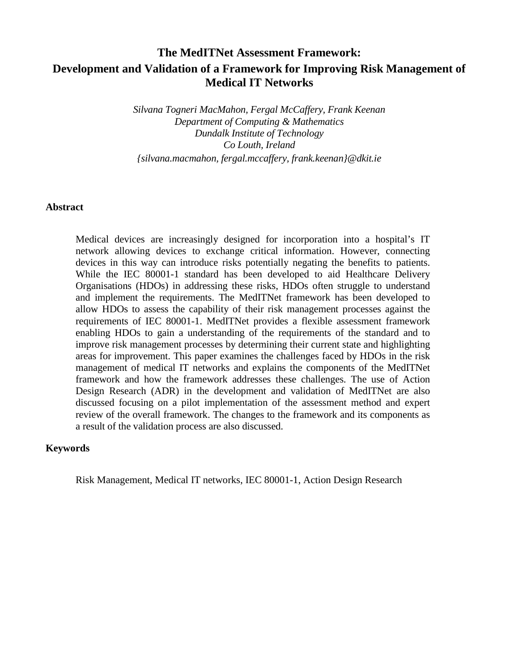# **The MedITNet Assessment Framework: Development and Validation of a Framework for Improving Risk Management of Medical IT Networks**

*Silvana Togneri MacMahon, Fergal McCaffery, Frank Keenan Department of Computing & Mathematics Dundalk Institute of Technology Co Louth, Ireland {silvana.macmahon, fergal.mccaffery, frank.keenan}@dkit.ie*

#### **Abstract**

Medical devices are increasingly designed for incorporation into a hospital's IT network allowing devices to exchange critical information. However, connecting devices in this way can introduce risks potentially negating the benefits to patients. While the IEC 80001-1 standard has been developed to aid Healthcare Delivery Organisations (HDOs) in addressing these risks, HDOs often struggle to understand and implement the requirements. The MedITNet framework has been developed to allow HDOs to assess the capability of their risk management processes against the requirements of IEC 80001-1. MedITNet provides a flexible assessment framework enabling HDOs to gain a understanding of the requirements of the standard and to improve risk management processes by determining their current state and highlighting areas for improvement. This paper examines the challenges faced by HDOs in the risk management of medical IT networks and explains the components of the MedITNet framework and how the framework addresses these challenges. The use of Action Design Research (ADR) in the development and validation of MedITNet are also discussed focusing on a pilot implementation of the assessment method and expert review of the overall framework. The changes to the framework and its components as a result of the validation process are also discussed.

#### **Keywords**

Risk Management, Medical IT networks, IEC 80001-1, Action Design Research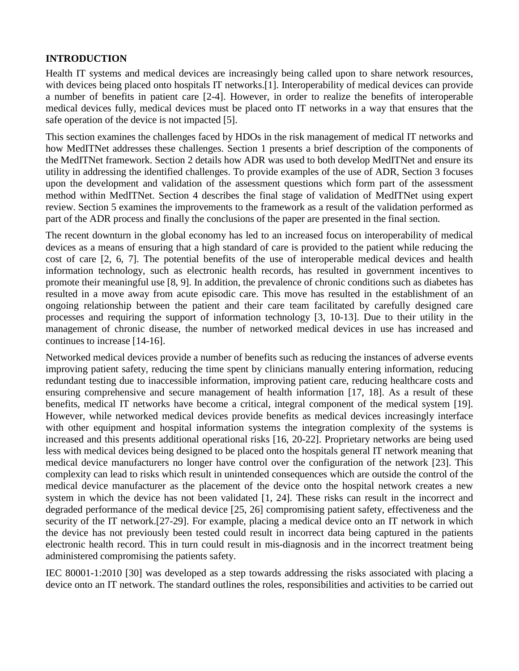# **INTRODUCTION**

Health IT systems and medical devices are increasingly being called upon to share network resources, with devices being placed onto hospitals IT networks.<sup>[\[1\]](#page-15-0)</sup>. Interoperability of medical devices can provide a number of benefits in patientcare[[2-4\]](#page-15-1). However, in order to realize the benefits of interoperable medical devices fully, medical devices must be placed onto IT networks in a way that ensures that the safe operation of the device is not impacted[5].

This section examines the challenges faced by HDOs in the risk management of medical IT networks and how MedITNet addresses these challenges. Section 1 presents a brief description of the components of the MedITNet framework. Section 2 details how ADR was used to both develop MedITNet and ensure its utility in addressing the identified challenges. To provide examples of the use of ADR, Section 3 focuses upon the development and validation of the assessment questions which form part of the assessment method within MedITNet. Section 4 describes the final stage of validation of MedITNet using expert review. Section 5 examines the improvements to the framework as a result of the validation performed as part of the ADR process and finally the conclusions of the paper are presented in the final section.

The recent downturn in the global economy has led to an increased focus on interoperability of medical devices as a means of ensuring that a high standard of care is provided to the patient while reducing the cost ofcare[[2,](#page-15-1)[6,](#page-15-3) [7](#page-15-4)]. The potential benefits of the use of interoperable medical devices and health information technology, such as electronic health records, has resulted in government incentives to promote their meaningfuluse [\[8](#page-15-5), [9](#page-15-6)]. In addition, the prevalence of chronic conditions such as diabetes has resulted in a move away from acute episodic care. This move has resulted in the establishment of an ongoing relationship between the patient and their care team facilitated by carefully designed care processes and requiring the support of information technology[\[3](#page-15-7), [10-13\]](#page-15-8). Due to their utility in the management of chronic disease, the number of networked medical devices in use has increased and continues to increase [\[14-16](#page-16-0)].

Networked medical devices provide a number of benefits such as reducing the instances of adverse events improving patient safety, reducing the time spent by clinicians manually entering information, reducing redundant testing due to inaccessible information, improving patient care, reducing healthcare costs and ensuring comprehensive and secure management of health information[[17,](#page-16-1) [18\]](#page-16-2). As a result of these benefits, medical IT networks have become a critical, integral component of the medical system [\[19](#page-16-3)]. However, while networked medical devices provide benefits as medical devices increasingly interface with other equipment and hospital information systems the integration complexity of the systems is increased and this presents additional operationalrisks [\[16,](#page-16-4) [20-22](#page-16-5)]. Proprietary networks are being used less with medical devices being designed to be placed onto the hospitals general IT network meaning that medical device manufacturers no longer have control over the configuration of the network[[23\]](#page-16-6). This complexity can lead to risks which result in unintended consequences which are outside the control of the medical device manufacturer as the placement of the device onto the hospital network creates a new systemin which the device has not been validated [\[1](#page-15-0), [24](#page-16-7)]. These risks can result in the incorrect and degraded performance of the medical device [\[25](#page-16-8), [26\]](#page-16-9) compromising patient safety, effectiveness and the security of the IT network.[\[27-29\]](#page-16-10). For example, placing a medical device onto an IT network in which the device has not previously been tested could result in incorrect data being captured in the patients electronic health record. This in turn could result in mis-diagnosis and in the incorrect treatment being administered compromising the patients safety.

IEC 80001-1:2010[[30\]](#page-16-11) was developed as a step towards addressing the risks associated with placing a device onto an IT network. The standard outlines the roles, responsibilities and activities to be carried out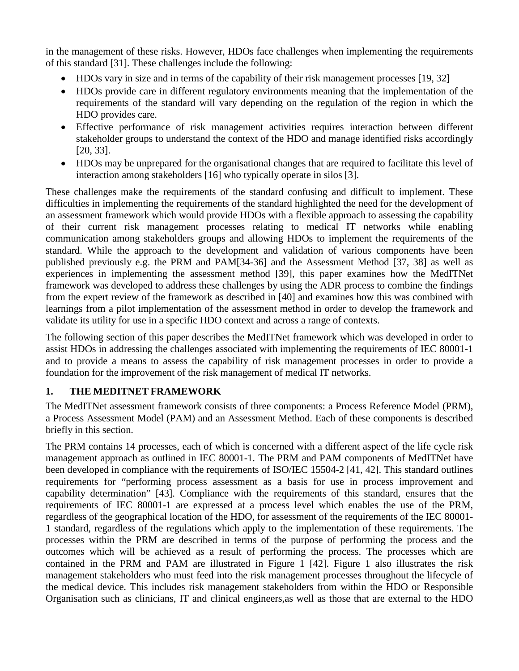in the management of these risks. However, HDOs face challenges when implementing the requirements of this standard[[31\].](#page-16-12) These challenges include the following:

- [HDOs vary in size and in terms of the capability of their risk management processes \[19, 32\]](#page-16-3)
- HDOs provide care in different regulatory environments meaning that the implementation of the requirements of the standard will vary depending on the regulation of the region in which the HDO provides care.
- Effective performance of risk management activities requires interaction between different stakeholder groups to understand the context of the HDO and manage identified risks accordingly [[20,](#page-16-5) [33\]](#page-16-14).
- HDOs may be unprepared for the organisational changes that are required to facilitate this level of interaction among stakeholders[1[6\] w](#page-16-4)ho typically operate in silos[3].

These challenges make the requirements of the standard confusing and difficult to implement. These difficulties in implementing the requirements of the standard highlighted the need for the development of an assessment framework which would provide HDOs with a flexible approach to assessing the capability of their current risk management processes relating to medical IT networks while enabling communication among stakeholders groups and allowing HDOs to implement the requirements of the standard. While the approach to the development and validation of various components have been published previously e.g. the PRM andPAM[\[34-36\]](#page-16-15) and the Assessment Method[[37,](#page-16-16) [38\]](#page-17-0) as well as experiences in implementing the assessment method[[39\],](#page-17-1) this paper examines how the MedITNet framework was developed to address these challenges by using the ADR process to combine the findings from the expert review of the framework as describedin[[40\]](#page-17-2) and examines how this was combined with learnings from a pilot implementation of the assessment method in order to develop the framework and validate its utility for use in a specific HDO context and across a range of contexts.

The following section of this paper describes the MedITNet framework which was developed in order to assist HDOs in addressing the challenges associated with implementing the requirements of IEC 80001-1 and to provide a means to assess the capability of risk management processes in order to provide a foundation for the improvement of the risk management of medical IT networks.

# **1. THE MEDITNET FRAMEWORK**

The MedITNet assessment framework consists of three components: a Process Reference Model (PRM), a Process Assessment Model (PAM) and an Assessment Method. Each of these components is described briefly in this section.

The PRM contains 14 processes, each of which is concerned with a different aspect of the life cycle risk management approach as outlined in IEC 80001-1. The PRM and PAM components of MedITNet have been developed in compliance with the requirements of ISO/IEC 15504-2 [\[41](#page-17-3), [42](#page-17-4)]. This standard outlines requirements for "performing process assessment as a basis for use in process improvement and capability determination"[[43\]](#page-17-5). Compliance with the requirements of this standard, ensures that the requirements of IEC 80001-1 are expressed at a process level which enables the use of the PRM, regardless of the geographical location of the HDO, for assessment of the requirements of the IEC 80001- 1 standard, regardless of the regulations which apply to the implementation of these requirements. The processes within the PRM are described in terms of the purpose of performing the process and the outcomes which will be achieved as a result of performing the process. The processes which are contained in the PRM and PAM are illustrated in Figure1 [\[42](#page-17-4)]. Figure 1 also illustrates the risk management stakeholders who must feed into the risk management processes throughout the lifecycle of the medical device. This includes risk management stakeholders from within the HDO or Responsible Organisation such as clinicians, IT and clinical engineers,as well as those that are external to the HDO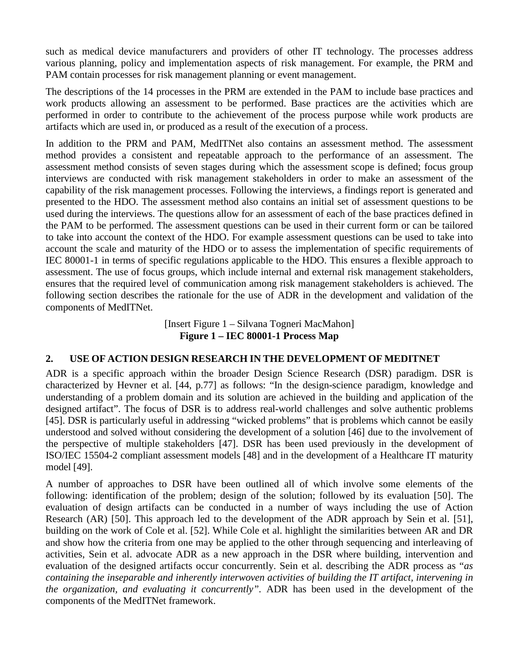such as medical device manufacturers and providers of other IT technology. The processes address various planning, policy and implementation aspects of risk management. For example, the PRM and PAM contain processes for risk management planning or event management.

The descriptions of the 14 processes in the PRM are extended in the PAM to include base practices and work products allowing an assessment to be performed. Base practices are the activities which are performed in order to contribute to the achievement of the process purpose while work products are artifacts which are used in, or produced as a result of the execution of a process.

In addition to the PRM and PAM, MedITNet also contains an assessment method. The assessment method provides a consistent and repeatable approach to the performance of an assessment. The assessment method consists of seven stages during which the assessment scope is defined; focus group interviews are conducted with risk management stakeholders in order to make an assessment of the capability of the risk management processes. Following the interviews, a findings report is generated and presented to the HDO. The assessment method also contains an initial set of assessment questions to be used during the interviews. The questions allow for an assessment of each of the base practices defined in the PAM to be performed. The assessment questions can be used in their current form or can be tailored to take into account the context of the HDO. For example assessment questions can be used to take into account the scale and maturity of the HDO or to assess the implementation of specific requirements of IEC 80001-1 in terms of specific regulations applicable to the HDO. This ensures a flexible approach to assessment. The use of focus groups, which include internal and external risk management stakeholders, ensures that the required level of communication among risk management stakeholders is achieved. The following section describes the rationale for the use of ADR in the development and validation of the components of MedITNet.

> [Insert Figure 1 – Silvana Togneri MacMahon] **Figure 1 – IEC 80001-1 Process Map**

# **2. USE OF ACTION DESIGN RESEARCH IN THE DEVELOPMENT OF MEDITNET**

ADR is a specific approach within the broader Design Science Research (DSR) paradigm. DSR is characterized by Hevner etal. [\[44, p.77\]](#page-17-6) as follows: "In the design-science paradigm, knowledge and understanding of a problem domain and its solution are achieved in the building and application of the designed artifact". The focus of DSR is to address real-world challenges and solve authentic problems [[45\]](#page-17-7). DSR is particularly useful in addressing "wicked problems" that is problems which cannot be easily understood and solved without considering the development of a solution[[46\]](#page-17-8) due to the involvement of the perspective of multiple stakeholders [\[47](#page-17-9)]. DSR has been used previously in the development of ISO/IEC 15504-2 compliant assessment models [\[48\]](#page-17-10) and in the development of a Healthcare IT maturity model[[49\]](#page-17-11).

A number of approaches to DSR have been outlined all of which involve some elements of the following: identification of the problem; design of the solution; followed by its evaluation[[50\]](#page-17-12). The evaluation of design artifacts can be conducted in a number of ways including the use of Action Research (AR) [\[50](#page-17-12)]. This approach led to the development of the ADR approach by Sein etal. [\[51](#page-17-13)], building on the work of Cole etal.[[52\]](#page-17-14). While Cole et al. highlight the similarities between AR and DR and show how the criteria from one may be applied to the other through sequencing and interleaving of activities, Sein et al. advocate ADR as a new approach in the DSR where building, intervention and evaluation of the designed artifacts occur concurrently. Sein et al. describing the ADR process as "*as containing the inseparable and inherently interwoven activities of building the IT artifact, intervening in the organization, and evaluating it concurrently".* ADR has been used in the development of the components of the MedITNet framework.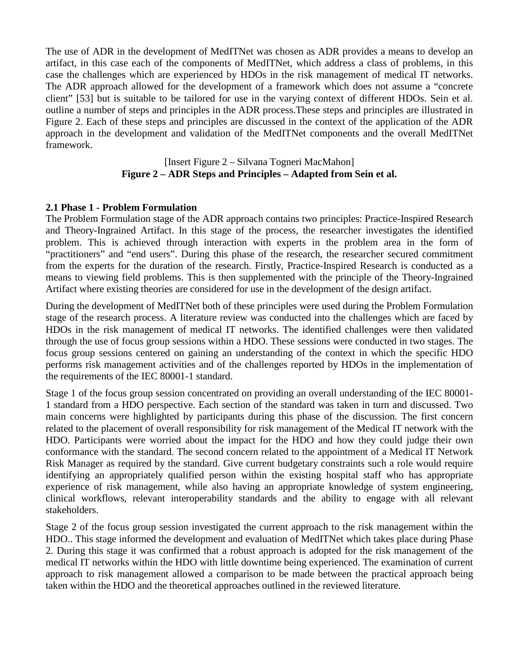The use of ADR in the development of MedITNet was chosen as ADR provides a means to develop an artifact, in this case each of the components of MedITNet, which address a class of problems, in this case the challenges which are experienced by HDOs in the risk management of medical IT networks. The ADR approach allowed for the development of a framework which does not assume a "concrete client" [\[53](#page-17-15)] but is suitable to be tailored for use in the varying context of different HDOs. Sein et al. outline a number of steps and principles in the ADR process.These steps and principles are illustrated in Figure 2. Each of these steps and principles are discussed in the context of the application of the ADR approach in the development and validation of the MedITNet components and the overall MedITNet framework.

### [Insert Figure 2 – Silvana Togneri MacMahon] **Figure 2 – ADR Steps and Principles – Adapted from Sein et al.**

#### **2.1 Phase 1 - Problem Formulation**

The Problem Formulation stage of the ADR approach contains two principles: Practice-Inspired Research and Theory-Ingrained Artifact. In this stage of the process, the researcher investigates the identified problem. This is achieved through interaction with experts in the problem area in the form of "practitioners" and "end users". During this phase of the research, the researcher secured commitment from the experts for the duration of the research. Firstly, Practice-Inspired Research is conducted as a means to viewing field problems. This is then supplemented with the principle of the Theory-Ingrained Artifact where existing theories are considered for use in the development of the design artifact.

During the development of MedITNet both of these principles were used during the Problem Formulation stage of the research process. A literature review was conducted into the challenges which are faced by HDOs in the risk management of medical IT networks. The identified challenges were then validated through the use of focus group sessions within a HDO. These sessions were conducted in two stages. The focus group sessions centered on gaining an understanding of the context in which the specific HDO performs risk management activities and of the challenges reported by HDOs in the implementation of the requirements of the IEC 80001-1 standard.

Stage 1 of the focus group session concentrated on providing an overall understanding of the IEC 80001- 1 standard from a HDO perspective. Each section of the standard was taken in turn and discussed. Two main concerns were highlighted by participants during this phase of the discussion. The first concern related to the placement of overall responsibility for risk management of the Medical IT network with the HDO. Participants were worried about the impact for the HDO and how they could judge their own conformance with the standard. The second concern related to the appointment of a Medical IT Network Risk Manager as required by the standard. Give current budgetary constraints such a role would require identifying an appropriately qualified person within the existing hospital staff who has appropriate experience of risk management, while also having an appropriate knowledge of system engineering, clinical workflows, relevant interoperability standards and the ability to engage with all relevant stakeholders.

Stage 2 of the focus group session investigated the current approach to the risk management within the HDO.. This stage informed the development and evaluation of MedITNet which takes place during Phase 2. During this stage it was confirmed that a robust approach is adopted for the risk management of the medical IT networks within the HDO with little downtime being experienced. The examination of current approach to risk management allowed a comparison to be made between the practical approach being taken within the HDO and the theoretical approaches outlined in the reviewed literature.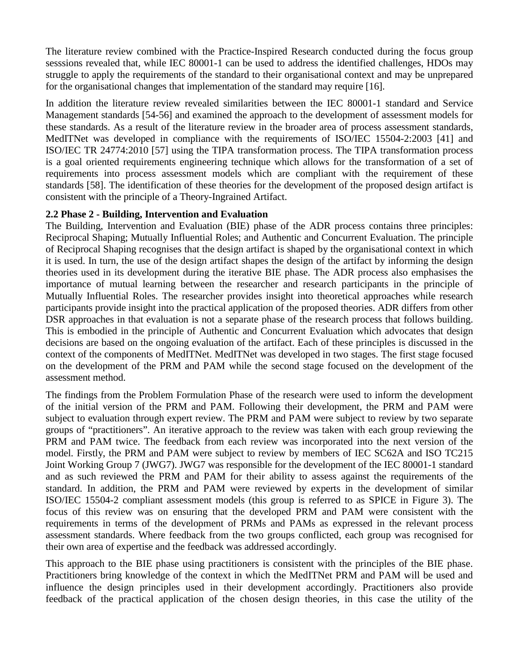The literature review combined with the Practice-Inspired Research conducted during the focus group sesssions revealed that, while IEC 80001-1 can be used to address the identified challenges, HDOs may struggle to apply the requirements of the standard to their organisational context and may be unprepared for the organisational changes that implementation of the standard may require [16].

In addition the literature review revealed similarities between the IEC 80001-1 standard and Service Management standards[[54-56](#page-17-16)] and examined the approach to the development of assessment models for these standards. As a result of the literature review in the broader area of process assessment standards, MedITNet was developed in compliance with the requirements of ISO/IEC 15504-2:2003 [\[41](#page-17-3)] and ISO/IEC TR 24774:2010[[57\]](#page-17-17) using the TIPA transformation process. The TIPA transformation process is a goal oriented requirements engineering technique which allows for the transformation of a set of requirements into process assessment models which are compliant with the requirement of these standards [\[58](#page-17-18)]. The identification of these theories for the development of the proposed design artifact is consistent with the principle of a Theory-Ingrained Artifact.

# **2.2 Phase 2 - Building, Intervention and Evaluation**

The Building, Intervention and Evaluation (BIE) phase of the ADR process contains three principles: Reciprocal Shaping; Mutually Influential Roles; and Authentic and Concurrent Evaluation. The principle of Reciprocal Shaping recognises that the design artifact is shaped by the organisational context in which it is used. In turn, the use of the design artifact shapes the design of the artifact by informing the design theories used in its development during the iterative BIE phase. The ADR process also emphasises the importance of mutual learning between the researcher and research participants in the principle of Mutually Influential Roles. The researcher provides insight into theoretical approaches while research participants provide insight into the practical application of the proposed theories. ADR differs from other DSR approaches in that evaluation is not a separate phase of the research process that follows building. This is embodied in the principle of Authentic and Concurrent Evaluation which advocates that design decisions are based on the ongoing evaluation of the artifact. Each of these principles is discussed in the context of the components of MedITNet. MedITNet was developed in two stages. The first stage focused on the development of the PRM and PAM while the second stage focused on the development of the assessment method.

The findings from the Problem Formulation Phase of the research were used to inform the development of the initial version of the PRM and PAM. Following their development, the PRM and PAM were subject to evaluation through expert review. The PRM and PAM were subject to review by two separate groups of "practitioners". An iterative approach to the review was taken with each group reviewing the PRM and PAM twice. The feedback from each review was incorporated into the next version of the model. Firstly, the PRM and PAM were subject to review by members of IEC SC62A and ISO TC215 Joint Working Group 7 (JWG7). JWG7 was responsible for the development of the IEC 80001-1 standard and as such reviewed the PRM and PAM for their ability to assess against the requirements of the standard. In addition, the PRM and PAM were reviewed by experts in the development of similar ISO/IEC 15504-2 compliant assessment models (this group is referred to as SPICE in Figure 3). The focus of this review was on ensuring that the developed PRM and PAM were consistent with the requirements in terms of the development of PRMs and PAMs as expressed in the relevant process assessment standards. Where feedback from the two groups conflicted, each group was recognised for their own area of expertise and the feedback was addressed accordingly.

This approach to the BIE phase using practitioners is consistent with the principles of the BIE phase. Practitioners bring knowledge of the context in which the MedITNet PRM and PAM will be used and influence the design principles used in their development accordingly. Practitioners also provide feedback of the practical application of the chosen design theories, in this case the utility of the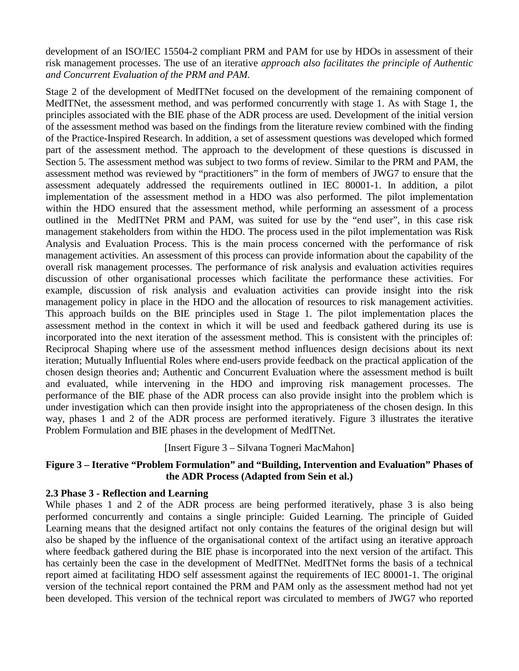development of an ISO/IEC 15504-2 compliant PRM and PAM for use by HDOs in assessment of their risk management processes. The use of an iterative *approach also facilitates the principle of Authentic and Concurrent Evaluation of the PRM and PAM.*

Stage 2 of the development of MedITNet focused on the development of the remaining component of MedITNet, the assessment method, and was performed concurrently with stage 1. As with Stage 1, the principles associated with the BIE phase of the ADR process are used. Development of the initial version of the assessment method was based on the findings from the literature review combined with the finding of the Practice-Inspired Research. In addition, a set of assessment questions was developed which formed part of the assessment method. The approach to the development of these questions is discussed in Section 5. The assessment method was subject to two forms of review. Similar to the PRM and PAM, the assessment method was reviewed by "practitioners" in the form of members of JWG7 to ensure that the assessment adequately addressed the requirements outlined in IEC 80001-1. In addition, a pilot implementation of the assessment method in a HDO was also performed. The pilot implementation within the HDO ensured that the assessment method, while performing an assessment of a process outlined in the MedITNet PRM and PAM, was suited for use by the "end user", in this case risk management stakeholders from within the HDO. The process used in the pilot implementation was Risk Analysis and Evaluation Process. This is the main process concerned with the performance of risk management activities. An assessment of this process can provide information about the capability of the overall risk management processes. The performance of risk analysis and evaluation activities requires discussion of other organisational processes which facilitate the performance these activities. For example, discussion of risk analysis and evaluation activities can provide insight into the risk management policy in place in the HDO and the allocation of resources to risk management activities. This approach builds on the BIE principles used in Stage 1. The pilot implementation places the assessment method in the context in which it will be used and feedback gathered during its use is incorporated into the next iteration of the assessment method. This is consistent with the principles of: Reciprocal Shaping where use of the assessment method influences design decisions about its next iteration; Mutually Influential Roles where end-users provide feedback on the practical application of the chosen design theories and; Authentic and Concurrent Evaluation where the assessment method is built and evaluated, while intervening in the HDO and improving risk management processes. The performance of the BIE phase of the ADR process can also provide insight into the problem which is under investigation which can then provide insight into the appropriateness of the chosen design. In this way, phases 1 and 2 of the ADR process are performed iteratively. Figure 3 illustrates the iterative Problem Formulation and BIE phases in the development of MedITNet.

[Insert Figure 3 – Silvana Togneri MacMahon]

#### **Figure 3 – Iterative "Problem Formulation" and "Building, Intervention and Evaluation" Phases of the ADR Process (Adapted from Sein et al.)**

# **2.3 Phase 3 - Reflection and Learning**

While phases 1 and 2 of the ADR process are being performed iteratively, phase 3 is also being performed concurrently and contains a single principle: Guided Learning. The principle of Guided Learning means that the designed artifact not only contains the features of the original design but will also be shaped by the influence of the organisational context of the artifact using an iterative approach where feedback gathered during the BIE phase is incorporated into the next version of the artifact. This has certainly been the case in the development of MedITNet. MedITNet forms the basis of a technical report aimed at facilitating HDO self assessment against the requirements of IEC 80001-1. The original version of the technical report contained the PRM and PAM only as the assessment method had not yet been developed. This version of the technical report was circulated to members of JWG7 who reported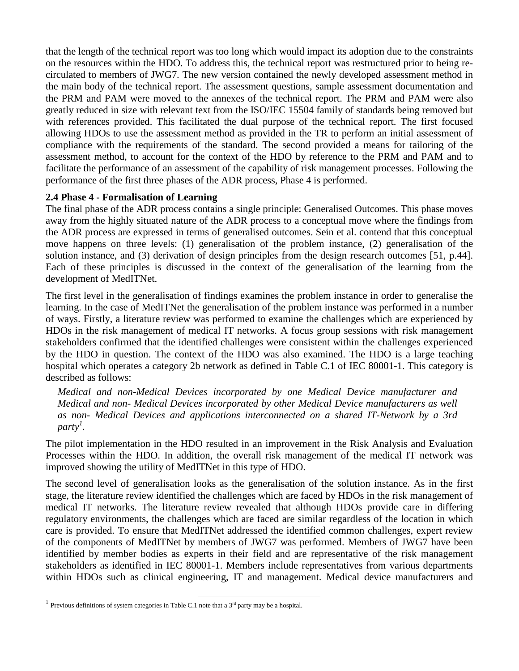that the length of the technical report was too long which would impact its adoption due to the constraints on the resources within the HDO. To address this, the technical report was restructured prior to being recirculated to members of JWG7. The new version contained the newly developed assessment method in the main body of the technical report. The assessment questions, sample assessment documentation and the PRM and PAM were moved to the annexes of the technical report. The PRM and PAM were also greatly reduced in size with relevant text from the ISO/IEC 15504 family of standards being removed but with references provided. This facilitated the dual purpose of the technical report. The first focused allowing HDOs to use the assessment method as provided in the TR to perform an initial assessment of compliance with the requirements of the standard. The second provided a means for tailoring of the assessment method, to account for the context of the HDO by reference to the PRM and PAM and to facilitate the performance of an assessment of the capability of risk management processes. Following the performance of the first three phases of the ADR process, Phase 4 is performed.

# **2.4 Phase 4 - Formalisation of Learning**

The final phase of the ADR process contains a single principle: Generalised Outcomes. This phase moves away from the highly situated nature of the ADR process to a conceptual move where the findings from the ADR process are expressed in terms of generalised outcomes. Sein et al. contend that this conceptual move happens on three levels: (1) generalisation of the problem instance, (2) generalisation of the solution instance, and (3) derivation of design principles from the design research outcomes [\[51, p.44](#page-17-13)]. Each of these principles is discussed in the context of the generalisation of the learning from the development of MedITNet.

The first level in the generalisation of findings examines the problem instance in order to generalise the learning. In the case of MedITNet the generalisation of the problem instance was performed in a number of ways. Firstly, a literature review was performed to examine the challenges which are experienced by HDOs in the risk management of medical IT networks. A focus group sessions with risk management stakeholders confirmed that the identified challenges were consistent within the challenges experienced by the HDO in question. The context of the HDO was also examined. The HDO is a large teaching hospital which operates a category 2b network as defined in Table C.1 of IEC 80001-1. This category is described as follows:

*Medical and non-Medical Devices incorporated by one Medical Device manufacturer and Medical and non- Medical Devices incorporated by other Medical Device manufacturers as well as non- Medical Devices and applications interconnected on a shared IT-Network by a 3rd party<sup>1</sup> [.](#page-7-0)*

The pilot implementation in the HDO resulted in an improvement in the Risk Analysis and Evaluation Processes within the HDO. In addition, the overall risk management of the medical IT network was improved showing the utility of MedITNet in this type of HDO.

The second level of generalisation looks as the generalisation of the solution instance. As in the first stage, the literature review identified the challenges which are faced by HDOs in the risk management of medical IT networks. The literature review revealed that although HDOs provide care in differing regulatory environments, the challenges which are faced are similar regardless of the location in which care is provided. To ensure that MedITNet addressed the identified common challenges, expert review of the components of MedITNet by members of JWG7 was performed. Members of JWG7 have been identified by member bodies as experts in their field and are representative of the risk management stakeholders as identified in IEC 80001-1. Members include representatives from various departments within HDOs such as clinical engineering, IT and management. Medical device manufacturers and

<span id="page-7-0"></span><sup>&</sup>lt;sup>1</sup> Previous definitions of system categories in Table C.1 note that a 3<sup>rd</sup> party may be a hospital.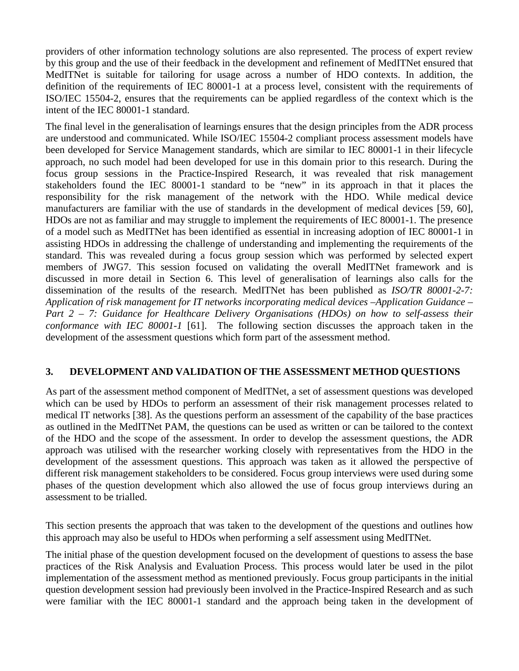providers of other information technology solutions are also represented. The process of expert review by this group and the use of their feedback in the development and refinement of MedITNet ensured that MedITNet is suitable for tailoring for usage across a number of HDO contexts. In addition, the definition of the requirements of IEC 80001-1 at a process level, consistent with the requirements of ISO/IEC 15504-2, ensures that the requirements can be applied regardless of the context which is the intent of the IEC 80001-1 standard.

The final level in the generalisation of learnings ensures that the design principles from the ADR process are understood and communicated. While ISO/IEC 15504-2 compliant process assessment models have been developed for Service Management standards, which are similar to IEC 80001-1 in their lifecycle approach, no such model had been developed for use in this domain prior to this research. During the focus group sessions in the Practice-Inspired Research, it was revealed that risk management stakeholders found the IEC 80001-1 standard to be "new" in its approach in that it places the responsibility for the risk management of the network with the HDO. While medical device manufacturers are familiar with the use of standards in the development of medical devices[[59,](#page-17-19) [60](#page-17-20)], HDOs are not as familiar and may struggle to implement the requirements of IEC 80001-1. The presence of a model such as MedITNet has been identified as essential in increasing adoption of IEC 80001-1 in assisting HDOs in addressing the challenge of understanding and implementing the requirements of the standard. This was revealed during a focus group session which was performed by selected expert members of JWG7. This session focused on validating the overall MedITNet framework and is discussed in more detail in Section 6. This level of generalisation of learnings also calls for the dissemination of the results of the research. MedITNet has been published as *ISO/TR 80001-2-7: Application of risk management for IT networks incorporating medical devices –Application Guidance – Part 2 – 7: Guidance for Healthcare Delivery Organisations (HDOs) on how to self-assess their conformance with IEC 80001-1* [\[61](#page-17-21)]. The following section discusses the approach taken in the development of the assessment questions which form part of the assessment method.

# **3. DEVELOPMENT AND VALIDATION OF THE ASSESSMENT METHOD QUESTIONS**

As part of the assessment method component of MedITNet, a set of assessment questions was developed which can be used by HDOs to perform an assessment of their risk management processes related to medical IT networks[[38\]](#page-17-0). As the questions perform an assessment of the capability of the base practices as outlined in the MedITNet PAM, the questions can be used as written or can be tailored to the context of the HDO and the scope of the assessment. In order to develop the assessment questions, the ADR approach was utilised with the researcher working closely with representatives from the HDO in the development of the assessment questions. This approach was taken as it allowed the perspective of different risk management stakeholders to be considered. Focus group interviews were used during some phases of the question development which also allowed the use of focus group interviews during an assessment to be trialled.

This section presents the approach that was taken to the development of the questions and outlines how this approach may also be useful to HDOs when performing a self assessment using MedITNet.

The initial phase of the question development focused on the development of questions to assess the base practices of the Risk Analysis and Evaluation Process. This process would later be used in the pilot implementation of the assessment method as mentioned previously. Focus group participants in the initial question development session had previously been involved in the Practice-Inspired Research and as such were familiar with the IEC 80001-1 standard and the approach being taken in the development of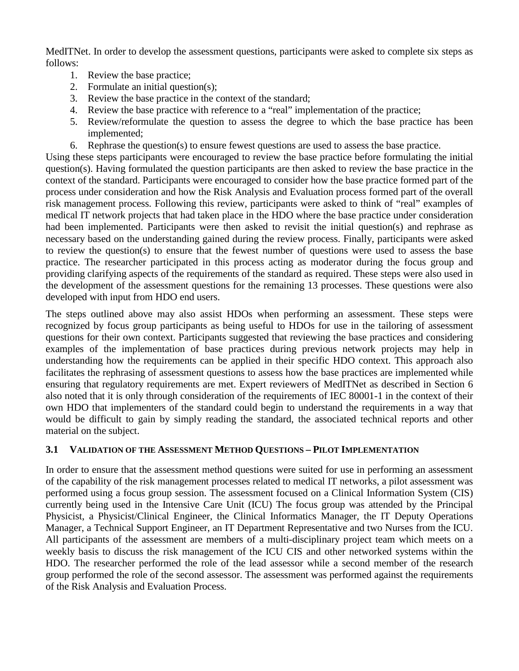MedITNet. In order to develop the assessment questions, participants were asked to complete six steps as follows:

- 1. Review the base practice;
- 2. Formulate an initial question(s);
- 3. Review the base practice in the context of the standard;
- 4. Review the base practice with reference to a "real" implementation of the practice;
- 5. Review/reformulate the question to assess the degree to which the base practice has been implemented;
- 6. Rephrase the question(s) to ensure fewest questions are used to assess the base practice.

Using these steps participants were encouraged to review the base practice before formulating the initial question(s). Having formulated the question participants are then asked to review the base practice in the context of the standard. Participants were encouraged to consider how the base practice formed part of the process under consideration and how the Risk Analysis and Evaluation process formed part of the overall risk management process. Following this review, participants were asked to think of "real" examples of medical IT network projects that had taken place in the HDO where the base practice under consideration had been implemented. Participants were then asked to revisit the initial question(s) and rephrase as necessary based on the understanding gained during the review process. Finally, participants were asked to review the question(s) to ensure that the fewest number of questions were used to assess the base practice. The researcher participated in this process acting as moderator during the focus group and providing clarifying aspects of the requirements of the standard as required. These steps were also used in the development of the assessment questions for the remaining 13 processes. These questions were also developed with input from HDO end users.

The steps outlined above may also assist HDOs when performing an assessment. These steps were recognized by focus group participants as being useful to HDOs for use in the tailoring of assessment questions for their own context. Participants suggested that reviewing the base practices and considering examples of the implementation of base practices during previous network projects may help in understanding how the requirements can be applied in their specific HDO context. This approach also facilitates the rephrasing of assessment questions to assess how the base practices are implemented while ensuring that regulatory requirements are met. Expert reviewers of MedITNet as described in Section 6 also noted that it is only through consideration of the requirements of IEC 80001-1 in the context of their own HDO that implementers of the standard could begin to understand the requirements in a way that would be difficult to gain by simply reading the standard, the associated technical reports and other material on the subject.

# **3.1 VALIDATION OF THE ASSESSMENT METHOD QUESTIONS – PILOT IMPLEMENTATION**

In order to ensure that the assessment method questions were suited for use in performing an assessment of the capability of the risk management processes related to medical IT networks, a pilot assessment was performed using a focus group session. The assessment focused on a Clinical Information System (CIS) currently being used in the Intensive Care Unit (ICU) The focus group was attended by the Principal Physicist, a Physicist/Clinical Engineer, the Clinical Informatics Manager, the IT Deputy Operations Manager, a Technical Support Engineer, an IT Department Representative and two Nurses from the ICU. All participants of the assessment are members of a multi-disciplinary project team which meets on a weekly basis to discuss the risk management of the ICU CIS and other networked systems within the HDO. The researcher performed the role of the lead assessor while a second member of the research group performed the role of the second assessor. The assessment was performed against the requirements of the Risk Analysis and Evaluation Process.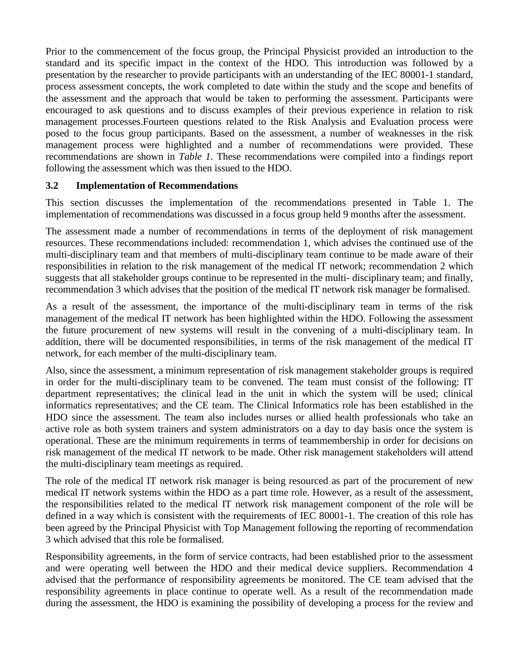Prior to the commencement of the focus group, the Principal Physicist provided an introduction to the standard and its specific impact in the context of the HDO. This introduction was followed by a presentation by the researcher to provide participants with an understanding of the IEC 80001-1 standard, process assessment concepts, the work completed to date within the study and the scope and benefits of the assessment and the approach that would be taken to performing the assessment. Participants were encouraged to ask questions and to discuss examples of their previous experience in relation to risk management processes.Fourteen questions related to the Risk Analysis and Evaluation process were posed to the focus group participants. Based on the assessment, a number of weaknesses in the risk management process were highlighted and a number of recommendations were provided. These recommendations are shown in *Table 1*. These recommendations were compiled into a findings report following the assessment which was then issued to the HDO.

#### **3.2 Implementation of Recommendations**

This section discusses the implementation of the recommendations presented in Table 1. The implementation of recommendations was discussed in a focus group held 9 months after the assessment.

The assessment made a number of recommendations in terms of the deployment of risk management resources. These recommendations included: recommendation 1, which advises the continued use of the multi-disciplinary team and that members of multi-disciplinary team continue to be made aware of their responsibilities in relation to the risk management of the medical IT network; recommendation 2 which suggests that all stakeholder groups continue to be represented in the multi- disciplinary team; and finally, recommendation 3 which advises that the position of the medical IT network risk manager be formalised.

As a result of the assessment, the importance of the multi-disciplinary team in terms of the risk management of the medical IT network has been highlighted within the HDO. Following the assessment the future procurement of new systems will result in the convening of a multi-disciplinary team. In addition, there will be documented responsibilities, in terms of the risk management of the medical IT network, for each member of the multi-disciplinary team.

Also, since the assessment, a minimum representation of risk management stakeholder groups is required in order for the multi-disciplinary team to be convened. The team must consist of the following: IT department representatives; the clinical lead in the unit in which the system will be used; clinical informatics representatives; and the CE team. The Clinical Informatics role has been established in the HDO since the assessment. The team also includes nurses or allied health professionals who take an active role as both system trainers and system administrators on a day to day basis once the system is operational. These are the minimum requirements in terms of teammembership in order for decisions on risk management of the medical IT network to be made. Other risk management stakeholders will attend the multi-disciplinary team meetings as required.

The role of the medical IT network risk manager is being resourced as part of the procurement of new medical IT network systems within the HDO as a part time role. However, as a result of the assessment, the responsibilities related to the medical IT network risk management component of the role will be defined in a way which is consistent with the requirements of IEC 80001-1. The creation of this role has been agreed by the Principal Physicist with Top Management following the reporting of recommendation 3 which advised that this role be formalised.

Responsibility agreements, in the form of service contracts, had been established prior to the assessment and were operating well between the HDO and their medical device suppliers. Recommendation 4 advised that the performance of responsibility agreements be monitored. The CE team advised that the responsibility agreements in place continue to operate well. As a result of the recommendation made during the assessment, the HDO is examining the possibility of developing a process for the review and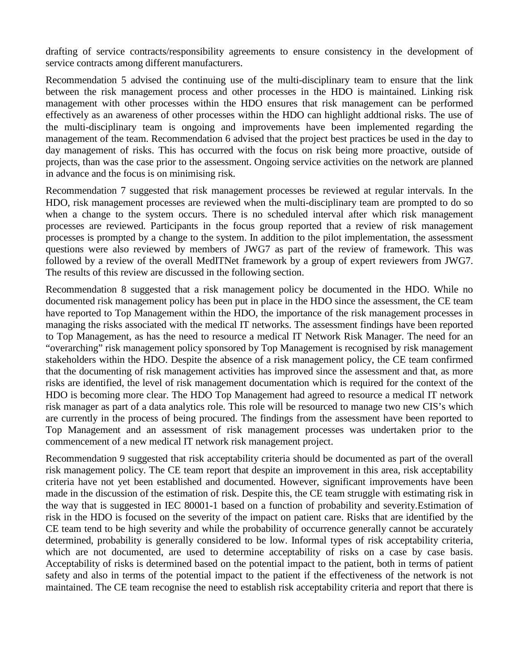drafting of service contracts/responsibility agreements to ensure consistency in the development of service contracts among different manufacturers.

Recommendation 5 advised the continuing use of the multi-disciplinary team to ensure that the link between the risk management process and other processes in the HDO is maintained. Linking risk management with other processes within the HDO ensures that risk management can be performed effectively as an awareness of other processes within the HDO can highlight addtional risks. The use of the multi-disciplinary team is ongoing and improvements have been implemented regarding the management of the team. Recommendation 6 advised that the project best practices be used in the day to day management of risks. This has occurred with the focus on risk being more proactive, outside of projects, than was the case prior to the assessment. Ongoing service activities on the network are planned in advance and the focus is on minimising risk.

Recommendation 7 suggested that risk management processes be reviewed at regular intervals. In the HDO, risk management processes are reviewed when the multi-disciplinary team are prompted to do so when a change to the system occurs. There is no scheduled interval after which risk management processes are reviewed. Participants in the focus group reported that a review of risk management processes is prompted by a change to the system. In addition to the pilot implementation, the assessment questions were also reviewed by members of JWG7 as part of the review of framework. This was followed by a review of the overall MedITNet framework by a group of expert reviewers from JWG7. The results of this review are discussed in the following section.

Recommendation 8 suggested that a risk management policy be documented in the HDO. While no documented risk management policy has been put in place in the HDO since the assessment, the CE team have reported to Top Management within the HDO, the importance of the risk management processes in managing the risks associated with the medical IT networks. The assessment findings have been reported to Top Management, as has the need to resource a medical IT Network Risk Manager. The need for an "overarching" risk management policy sponsored by Top Management is recognised by risk management stakeholders within the HDO. Despite the absence of a risk management policy, the CE team confirmed that the documenting of risk management activities has improved since the assessment and that, as more risks are identified, the level of risk management documentation which is required for the context of the HDO is becoming more clear. The HDO Top Management had agreed to resource a medical IT network risk manager as part of a data analytics role. This role will be resourced to manage two new CIS's which are currently in the process of being procured. The findings from the assessment have been reported to Top Management and an assessment of risk management processes was undertaken prior to the commencement of a new medical IT network risk management project.

Recommendation 9 suggested that risk acceptability criteria should be documented as part of the overall risk management policy. The CE team report that despite an improvement in this area, risk acceptability criteria have not yet been established and documented. However, significant improvements have been made in the discussion of the estimation of risk. Despite this, the CE team struggle with estimating risk in the way that is suggested in IEC 80001-1 based on a function of probability and severity.Estimation of risk in the HDO is focused on the severity of the impact on patient care. Risks that are identified by the CE team tend to be high severity and while the probability of occurrence generally cannot be accurately determined, probability is generally considered to be low. Informal types of risk acceptability criteria, which are not documented, are used to determine acceptability of risks on a case by case basis. Acceptability of risks is determined based on the potential impact to the patient, both in terms of patient safety and also in terms of the potential impact to the patient if the effectiveness of the network is not maintained. The CE team recognise the need to establish risk acceptability criteria and report that there is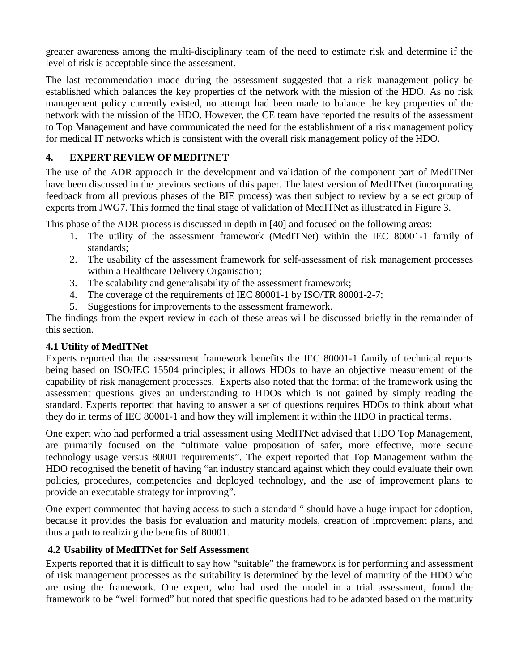greater awareness among the multi-disciplinary team of the need to estimate risk and determine if the level of risk is acceptable since the assessment.

The last recommendation made during the assessment suggested that a risk management policy be established which balances the key properties of the network with the mission of the HDO. As no risk management policy currently existed, no attempt had been made to balance the key properties of the network with the mission of the HDO. However, the CE team have reported the results of the assessment to Top Management and have communicated the need for the establishment of a risk management policy for medical IT networks which is consistent with the overall risk management policy of the HDO.

# **4. EXPERT REVIEW OF MEDITNET**

The use of the ADR approach in the development and validation of the component part of MedITNet have been discussed in the previous sections of this paper. The latest version of MedITNet (incorporating feedback from all previous phases of the BIE process) was then subject to review by a select group of experts from JWG7. This formed the final stage of validation of MedITNet as illustrated in Figure 3.

[This phase of the ADR process is discussed in depth in \[40\] and focused on the following areas:](#page-17-2)

- 1. The utility of the assessment framework (MedITNet) within the IEC 80001-1 family of standards;
- 2. The usability of the assessment framework for self-assessment of risk management processes within a Healthcare Delivery Organisation;
- 3. The scalability and generalisability of the assessment framework;
- 4. The coverage of the requirements of IEC 80001-1 by ISO/TR 80001-2-7;
- 5. Suggestions for improvements to the assessment framework.

The findings from the expert review in each of these areas will be discussed briefly in the remainder of this section.

# **4.1 Utility of MedITNet**

Experts reported that the assessment framework benefits the IEC 80001-1 family of technical reports being based on ISO/IEC 15504 principles; it allows HDOs to have an objective measurement of the capability of risk management processes. Experts also noted that the format of the framework using the assessment questions gives an understanding to HDOs which is not gained by simply reading the standard. Experts reported that having to answer a set of questions requires HDOs to think about what they do in terms of IEC 80001-1 and how they will implement it within the HDO in practical terms.

One expert who had performed a trial assessment using MedITNet advised that HDO Top Management, are primarily focused on the "ultimate value proposition of safer, more effective, more secure technology usage versus 80001 requirements". The expert reported that Top Management within the HDO recognised the benefit of having "an industry standard against which they could evaluate their own policies, procedures, competencies and deployed technology, and the use of improvement plans to provide an executable strategy for improving".

One expert commented that having access to such a standard " should have a huge impact for adoption, because it provides the basis for evaluation and maturity models, creation of improvement plans, and thus a path to realizing the benefits of 80001.

# **4.2 Usability of MedITNet for Self Assessment**

Experts reported that it is difficult to say how "suitable" the framework is for performing and assessment of risk management processes as the suitability is determined by the level of maturity of the HDO who are using the framework. One expert, who had used the model in a trial assessment, found the framework to be "well formed" but noted that specific questions had to be adapted based on the maturity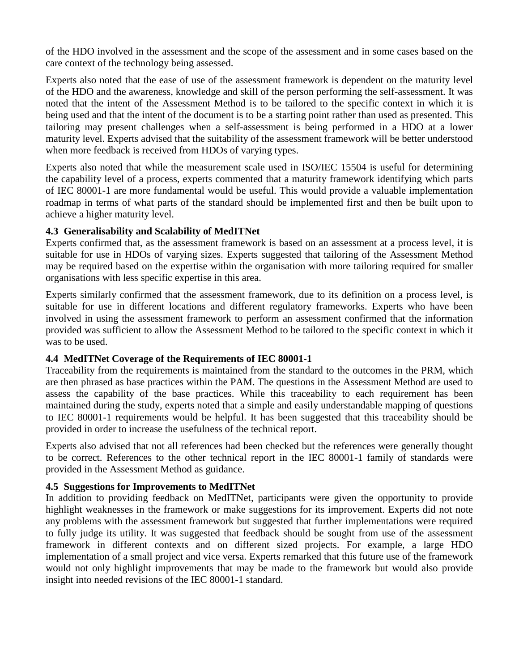of the HDO involved in the assessment and the scope of the assessment and in some cases based on the care context of the technology being assessed.

Experts also noted that the ease of use of the assessment framework is dependent on the maturity level of the HDO and the awareness, knowledge and skill of the person performing the self-assessment. It was noted that the intent of the Assessment Method is to be tailored to the specific context in which it is being used and that the intent of the document is to be a starting point rather than used as presented. This tailoring may present challenges when a self-assessment is being performed in a HDO at a lower maturity level. Experts advised that the suitability of the assessment framework will be better understood when more feedback is received from HDOs of varying types.

Experts also noted that while the measurement scale used in ISO/IEC 15504 is useful for determining the capability level of a process, experts commented that a maturity framework identifying which parts of IEC 80001-1 are more fundamental would be useful. This would provide a valuable implementation roadmap in terms of what parts of the standard should be implemented first and then be built upon to achieve a higher maturity level.

#### **4.3 Generalisability and Scalability of MedITNet**

Experts confirmed that, as the assessment framework is based on an assessment at a process level, it is suitable for use in HDOs of varying sizes. Experts suggested that tailoring of the Assessment Method may be required based on the expertise within the organisation with more tailoring required for smaller organisations with less specific expertise in this area.

Experts similarly confirmed that the assessment framework, due to its definition on a process level, is suitable for use in different locations and different regulatory frameworks. Experts who have been involved in using the assessment framework to perform an assessment confirmed that the information provided was sufficient to allow the Assessment Method to be tailored to the specific context in which it was to be used.

#### **4.4 MedITNet Coverage of the Requirements of IEC 80001-1**

Traceability from the requirements is maintained from the standard to the outcomes in the PRM, which are then phrased as base practices within the PAM. The questions in the Assessment Method are used to assess the capability of the base practices. While this traceability to each requirement has been maintained during the study, experts noted that a simple and easily understandable mapping of questions to IEC 80001-1 requirements would be helpful. It has been suggested that this traceability should be provided in order to increase the usefulness of the technical report.

Experts also advised that not all references had been checked but the references were generally thought to be correct. References to the other technical report in the IEC 80001-1 family of standards were provided in the Assessment Method as guidance.

#### **4.5 Suggestions for Improvements to MedITNet**

In addition to providing feedback on MedITNet, participants were given the opportunity to provide highlight weaknesses in the framework or make suggestions for its improvement. Experts did not note any problems with the assessment framework but suggested that further implementations were required to fully judge its utility. It was suggested that feedback should be sought from use of the assessment framework in different contexts and on different sized projects. For example, a large HDO implementation of a small project and vice versa. Experts remarked that this future use of the framework would not only highlight improvements that may be made to the framework but would also provide insight into needed revisions of the IEC 80001-1 standard.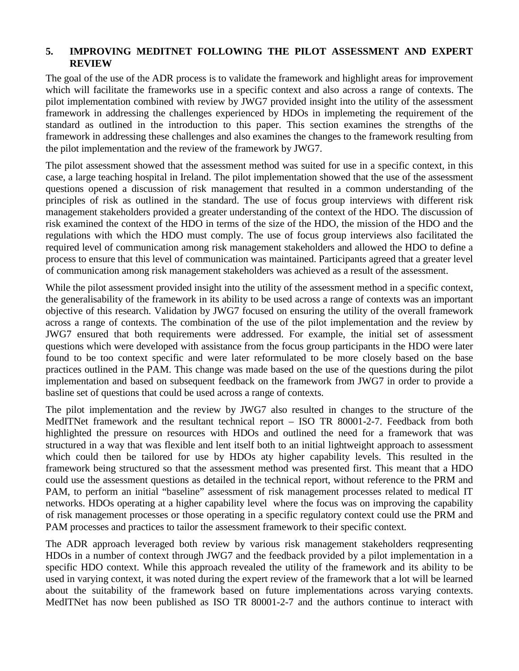#### **5. IMPROVING MEDITNET FOLLOWING THE PILOT ASSESSMENT AND EXPERT REVIEW**

The goal of the use of the ADR process is to validate the framework and highlight areas for improvement which will facilitate the frameworks use in a specific context and also across a range of contexts. The pilot implementation combined with review by JWG7 provided insight into the utility of the assessment framework in addressing the challenges experienced by HDOs in implemeting the requirement of the standard as outlined in the introduction to this paper. This section examines the strengths of the framework in addressing these challenges and also examines the changes to the framework resulting from the pilot implementation and the review of the framework by JWG7.

The pilot assessment showed that the assessment method was suited for use in a specific context, in this case, a large teaching hospital in Ireland. The pilot implementation showed that the use of the assessment questions opened a discussion of risk management that resulted in a common understanding of the principles of risk as outlined in the standard. The use of focus group interviews with different risk management stakeholders provided a greater understanding of the context of the HDO. The discussion of risk examined the context of the HDO in terms of the size of the HDO, the mission of the HDO and the regulations with which the HDO must comply. The use of focus group interviews also facilitated the required level of communication among risk management stakeholders and allowed the HDO to define a process to ensure that this level of communication was maintained. Participants agreed that a greater level of communication among risk management stakeholders was achieved as a result of the assessment.

While the pilot assessment provided insight into the utility of the assessment method in a specific context, the generalisability of the framework in its ability to be used across a range of contexts was an important objective of this research. Validation by JWG7 focused on ensuring the utility of the overall framework across a range of contexts. The combination of the use of the pilot implementation and the review by JWG7 ensured that both requirements were addressed. For example, the initial set of assessment questions which were developed with assistance from the focus group participants in the HDO were later found to be too context specific and were later reformulated to be more closely based on the base practices outlined in the PAM. This change was made based on the use of the questions during the pilot implementation and based on subsequent feedback on the framework from JWG7 in order to provide a basline set of questions that could be used across a range of contexts.

The pilot implementation and the review by JWG7 also resulted in changes to the structure of the MedITNet framework and the resultant technical report – ISO TR 80001-2-7. Feedback from both highlighted the pressure on resources with HDOs and outlined the need for a framework that was structured in a way that was flexible and lent itself both to an initial lightweight approach to assessment which could then be tailored for use by HDOs aty higher capability levels. This resulted in the framework being structured so that the assessment method was presented first. This meant that a HDO could use the assessment questions as detailed in the technical report, without reference to the PRM and PAM, to perform an initial "baseline" assessment of risk management processes related to medical IT networks. HDOs operating at a higher capability level where the focus was on improving the capability of risk management processes or those operating in a specific regulatory context could use the PRM and PAM processes and practices to tailor the assessment framework to their specific context.

The ADR approach leveraged both review by various risk management stakeholders reqpresenting HDOs in a number of context through JWG7 and the feedback provided by a pilot implementation in a specific HDO context. While this approach revealed the utility of the framework and its ability to be used in varying context, it was noted during the expert review of the framework that a lot will be learned about the suitability of the framework based on future implementations across varying contexts. MedITNet has now been published as ISO TR 80001-2-7 and the authors continue to interact with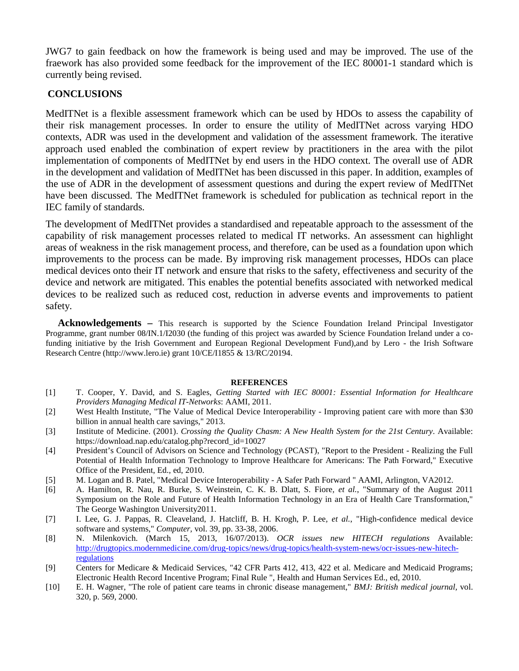JWG7 to gain feedback on how the framework is being used and may be improved. The use of the fraework has also provided some feedback for the improvement of the IEC 80001-1 standard which is currently being revised.

#### **CONCLUSIONS**

MedITNet is a flexible assessment framework which can be used by HDOs to assess the capability of their risk management processes. In order to ensure the utility of MedITNet across varying HDO contexts, ADR was used in the development and validation of the assessment framework. The iterative approach used enabled the combination of expert review by practitioners in the area with the pilot implementation of components of MedITNet by end users in the HDO context. The overall use of ADR in the development and validation of MedITNet has been discussed in this paper. In addition, examples of the use of ADR in the development of assessment questions and during the expert review of MedITNet have been discussed. The MedITNet framework is scheduled for publication as technical report in the IEC family of standards.

The development of MedITNet provides a standardised and repeatable approach to the assessment of the capability of risk management processes related to medical IT networks. An assessment can highlight areas of weakness in the risk management process, and therefore, can be used as a foundation upon which improvements to the process can be made. By improving risk management processes, HDOs can place medical devices onto their IT network and ensure that risks to the safety, effectiveness and security of the device and network are mitigated. This enables the potential benefits associated with networked medical devices to be realized such as reduced cost, reduction in adverse events and improvements to patient safety.

**Acknowledgements –** This research is supported by the Science Foundation Ireland Principal Investigator Programme, grant number 08/IN.1/I2030 (the funding of this project was awarded by Science Foundation Ireland under a cofunding initiative by the Irish Government and European Regional Development Fund),and by Lero - the Irish Software Research Centre (http://www.lero.ie) grant 10/CE/I1855 & 13/RC/20194.

#### **REFERENCES**

- <span id="page-15-0"></span>[1] T. Cooper, Y. David, and S. Eagles, *Getting Started with IEC 80001: Essential Information for Healthcare Providers Managing Medical IT-Networks*: AAMI, 2011.
- <span id="page-15-1"></span>[2] West Health Institute, "The Value of Medical Device Interoperability - Improving patient care with more than \$30 billion in annual health care savings," 2013.
- <span id="page-15-7"></span>[3] Institute of Medicine. (2001). *Crossing the Quality Chasm: A New Health System for the 21st Century*. Available: https://download.nap.edu/catalog.php?record\_id=10027
- [4] President's Council of Advisors on Science and Technology (PCAST), "Report to the President Realizing the Full Potential of Health Information Technology to Improve Healthcare for Americans: The Path Forward," Executive Office of the President, Ed., ed, 2010.
- <span id="page-15-3"></span><span id="page-15-2"></span>[5] M. Logan and B. Patel, "Medical Device Interoperability - A Safer Path Forward " AAMI, Arlington, VA2012.
- [6] A. Hamilton, R. Nau, R. Burke, S. Weinstein, C. K. B. Dlatt, S. Fiore*, et al.*, "Summary of the August 2011 Symposium on the Role and Future of Health Information Technology in an Era of Health Care Transformation," The George Washington University2011.
- <span id="page-15-4"></span>[7] I. Lee, G. J. Pappas, R. Cleaveland, J. Hatcliff, B. H. Krogh, P. Lee*, et al.*, "High-confidence medical device software and systems," *Computer,* vol. 39, pp. 33-38, 2006.
- <span id="page-15-5"></span>[8] N. Milenkovich. (March 15, 2013, 16/07/2013). *OCR issues new HITECH regulations* Available: [http://drugtopics.modernmedicine.com/drug-topics/news/drug-topics/health-system-news/ocr-issues-new-hitech](http://drugtopics.modernmedicine.com/drug-topics/news/drug-topics/health-system-news/ocr-issues-new-hitech-regulations)[regulations](http://drugtopics.modernmedicine.com/drug-topics/news/drug-topics/health-system-news/ocr-issues-new-hitech-regulations)
- <span id="page-15-6"></span>[9] Centers for Medicare & Medicaid Services, "42 CFR Parts 412, 413, 422 et al. Medicare and Medicaid Programs; Electronic Health Record Incentive Program; Final Rule ", Health and Human Services Ed., ed, 2010.
- <span id="page-15-8"></span>[10] E. H. Wagner, "The role of patient care teams in chronic disease management," *BMJ: British medical journal,* vol. 320, p. 569, 2000.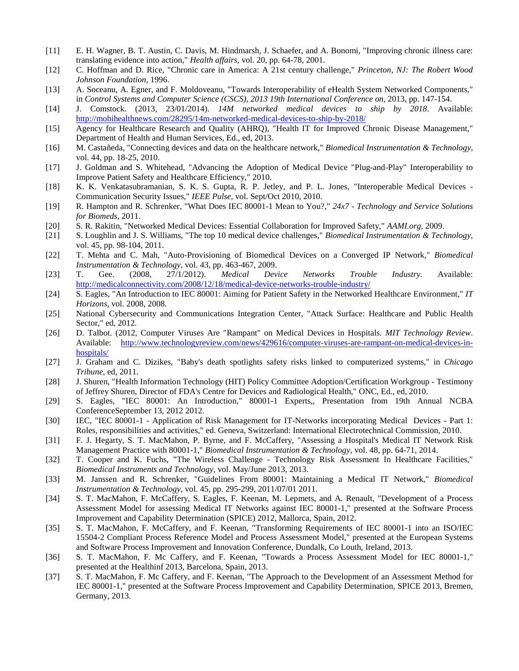- [11] E. H. Wagner, B. T. Austin, C. Davis, M. Hindmarsh, J. Schaefer, and A. Bonomi, "Improving chronic illness care: translating evidence into action," *Health affairs,* vol. 20, pp. 64-78, 2001.
- [12] C. Hoffman and D. Rice, "Chronic care in America: A 21st century challenge," *Princeton, NJ: The Robert Wood Johnson Foundation,* 1996.
- [13] A. Soceanu, A. Egner, and F. Moldoveanu, "Towards Interoperability of eHealth System Networked Components," in *Control Systems and Computer Science (CSCS), 2013 19th International Conference on*, 2013, pp. 147-154.
- <span id="page-16-0"></span>[14] J. Comstock. (2013, 23/01/2014). *14M networked medical devices to ship by 2018*. Available: <http://mobihealthnews.com/28295/14m-networked-medical-devices-to-ship-by-2018/>
- [15] Agency for Healthcare Research and Quality (AHRQ), "Health IT for Improved Chronic Disease Management," Department of Health and Human Services, Ed., ed, 2013.
- <span id="page-16-4"></span>[16] M. Castañeda, "Connecting devices and data on the healthcare network," *Biomedical Instrumentation & Technology,* vol. 44, pp. 18-25, 2010.
- <span id="page-16-1"></span>[17] J. Goldman and S. Whitehead, "Advancing the Adoption of Medical Device "Plug-and-Play" Interoperability to Improve Patient Safety and Healthcare Efficiency," 2010.
- <span id="page-16-2"></span>[18] K. K. Venkatasubramanian, S. K. S. Gupta, R. P. Jetley, and P. L. Jones, "Interoperable Medical Devices - Communication Security Issues," *IEEE Pulse,* vol. Sept/Oct 2010, 2010.
- <span id="page-16-3"></span>[19] R. Hampton and R. Schrenker, "What Does IEC 80001-1 Mean to You?," *24x7 - Technology and Service Solutions for Biomeds,* 2011.
- <span id="page-16-5"></span>[20] S. R. Rakitin, "Networked Medical Devices: Essential Collaboration for Improved Safety," *AAMI.org,* 2009.
- [21] S. Loughlin and J. S. Williams, "The top 10 medical device challenges," *Biomedical Instrumentation & Technology,* vol. 45, pp. 98-104, 2011.
- [22] T. Mehta and C. Mah, "Auto-Provisioning of Biomedical Devices on a Converged IP Network," *Biomedical Instrumentation & Technology,* vol. 43, pp. 463-467, 2009.
- <span id="page-16-6"></span>[23] T. Gee. (2008, 27/1/2012). *Medical Device Networks Trouble Industry*. Available: <http://medicalconnectivity.com/2008/12/18/medical-device-networks-trouble-industry/>
- <span id="page-16-7"></span>[24] S. Eagles, "An Introduction to IEC 80001: Aiming for Patient Safety in the Networked Healthcare Environment," *IT Horizons,* vol. 2008, 2008.
- <span id="page-16-8"></span>[25] National Cybersecurity and Communications Integration Center, "Attack Surface: Healthcare and Public Health Sector," ed, 2012.
- <span id="page-16-9"></span>[26] D. Talbot. (2012, Computer Viruses Are "Rampant" on Medical Devices in Hospitals. *MIT Technology Review*. Available: [http://www.technologyreview.com/news/429616/computer-viruses-are-rampant-on-medical-devices-in](http://www.technologyreview.com/news/429616/computer-viruses-are-rampant-on-medical-devices-in-hospitals/)[hospitals/](http://www.technologyreview.com/news/429616/computer-viruses-are-rampant-on-medical-devices-in-hospitals/)
- <span id="page-16-10"></span>[27] J. Graham and C. Dizikes, "Baby's death spotlights safety risks linked to computerized systems," in *Chicago Tribune*, ed, 2011.
- [28] J. Shuren, "Health Information Technology (HIT) Policy Committee Adoption/Certification Workgroup Testimony of Jeffrey Shuren, Director of FDA's Centre for Devices and Radiological Health," ONC, Ed., ed, 2010.
- [29] S. Eagles, "IEC 80001: An Introduction," 80001-1 Experts,, Presentation from 19th Annual NCBA ConferenceSeptember 13, 2012 2012.
- <span id="page-16-11"></span>[30] IEC, "IEC 80001-1 - Application of Risk Management for IT-Networks incorporating Medical Devices - Part 1: Roles, responsibilities and activities," ed. Geneva, Switzerland: International Electrotechnical Commission, 2010.
- <span id="page-16-12"></span>[31] F. J. Hegarty, S. T. MacMahon, P. Byrne, and F. McCaffery, "Assessing a Hospital's Medical IT Network Risk Management Practice with 80001-1," *Biomedical Instrumentation & Technology,* vol. 48, pp. 64-71, 2014.
- <span id="page-16-13"></span>[32] T. Cooper and K. Fuchs, "The Wireless Challenge - Technology Risk Assessment In Healthcare Facilities," *Biomedical Instruments and Technology,* vol. May/June 2013, 2013.
- <span id="page-16-14"></span>[33] M. Janssen and R. Schrenker, "Guidelines From 80001: Maintaining a Medical IT Network," *Biomedical Instrumentation & Technology,* vol. 45, pp. 295-299, 2011/07/01 2011.
- <span id="page-16-15"></span>[34] S. T. MacMahon, F. McCaffery, S. Eagles, F. Keenan, M. Lepmets, and A. Renault, "Development of a Process Assessment Model for assessing Medical IT Networks against IEC 80001-1," presented at the Software Process Improvement and Capability Determination (SPICE) 2012, Mallorca, Spain, 2012.
- [35] S. T. MacMahon, F. McCaffery, and F. Keenan, "Transforming Requirements of IEC 80001-1 into an ISO/IEC 15504-2 Compliant Process Reference Model and Process Assessment Model," presented at the European Systems and Software Process Improvement and Innovation Conference, Dundalk, Co Louth, Ireland, 2013.
- [36] S. T. MacMahon, F. Mc Caffery, and F. Keenan, "Towards a Process Assessment Model for IEC 80001-1," presented at the Healthinf 2013, Barcelona, Spain, 2013.
- <span id="page-16-16"></span>[37] S. T. MacMahon, F. Mc Caffery, and F. Keenan, "The Approach to the Development of an Assessment Method for IEC 80001-1," presented at the Software Process Improvement and Capability Determination, SPICE 2013, Bremen, Germany, 2013.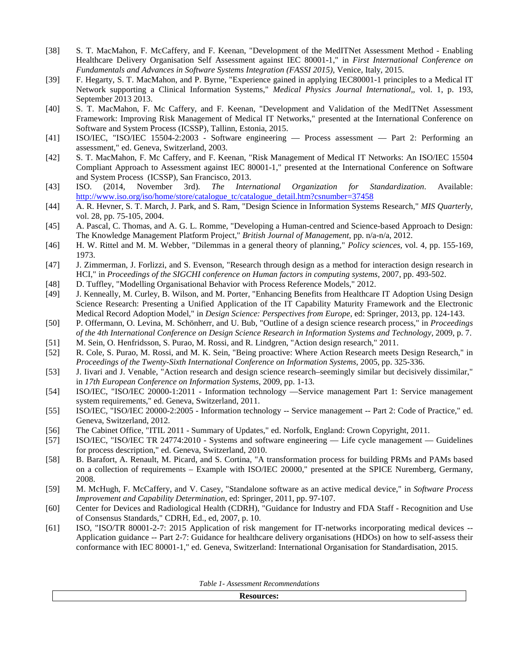- <span id="page-17-0"></span>[38] S. T. MacMahon, F. McCaffery, and F. Keenan, "Development of the MedITNet Assessment Method - Enabling Healthcare Delivery Organisation Self Assessment against IEC 80001-1," in *First International Conference on Fundamentals and Advances in Software Systems Integration (FASSI 2015)*, Venice, Italy, 2015.
- <span id="page-17-1"></span>[39] F. Hegarty, S. T. MacMahon, and P. Byrne, "Experience gained in applying IEC80001-1 principles to a Medical IT Network supporting a Clinical Information Systems," *Medical Physics Journal International,,* vol. 1, p. 193, September 2013 2013.
- <span id="page-17-2"></span>[40] S. T. MacMahon, F. Mc Caffery, and F. Keenan, "Development and Validation of the MedITNet Assessment Framework: Improving Risk Management of Medical IT Networks," presented at the International Conference on Software and System Process (ICSSP), Tallinn, Estonia, 2015.
- <span id="page-17-3"></span>[41] ISO/IEC, "ISO/IEC 15504-2:2003 - Software engineering — Process assessment — Part 2: Performing an assessment," ed. Geneva, Switzerland, 2003.
- <span id="page-17-4"></span>[42] S. T. MacMahon, F. Mc Caffery, and F. Keenan, "Risk Management of Medical IT Networks: An ISO/IEC 15504 Compliant Approach to Assessment against IEC 80001-1," presented at the International Conference on Software and System Process (ICSSP), San Francisco, 2013.
- <span id="page-17-5"></span>[43] ISO. (2014, November 3rd). *The International Organization for Standardization*. Available: [http://www.iso.org/iso/home/store/catalogue\\_tc/catalogue\\_detail.htm?csnumber=37458](http://www.iso.org/iso/home/store/catalogue_tc/catalogue_detail.htm?csnumber=37458)
- <span id="page-17-6"></span>[44] A. R. Hevner, S. T. March, J. Park, and S. Ram, "Design Science in Information Systems Research," *MIS Quarterly,* vol. 28, pp. 75-105, 2004.
- <span id="page-17-7"></span>[45] A. Pascal, C. Thomas, and A. G. L. Romme, "Developing a Human-centred and Science-based Approach to Design: The Knowledge Management Platform Project," *British Journal of Management,* pp. n/a-n/a, 2012.
- <span id="page-17-8"></span>[46] H. W. Rittel and M. M. Webber, "Dilemmas in a general theory of planning," *Policy sciences,* vol. 4, pp. 155-169, 1973.
- <span id="page-17-9"></span>[47] J. Zimmerman, J. Forlizzi, and S. Evenson, "Research through design as a method for interaction design research in HCI," in *Proceedings of the SIGCHI conference on Human factors in computing systems*, 2007, pp. 493-502.
- <span id="page-17-11"></span><span id="page-17-10"></span>[48] D. Tuffley, "Modelling Organisational Behavior with Process Reference Models," 2012.
- [49] J. Kenneally, M. Curley, B. Wilson, and M. Porter, "Enhancing Benefits from Healthcare IT Adoption Using Design Science Research: Presenting a Unified Application of the IT Capability Maturity Framework and the Electronic Medical Record Adoption Model," in *Design Science: Perspectives from Europe*, ed: Springer, 2013, pp. 124-143.
- <span id="page-17-12"></span>[50] P. Offermann, O. Levina, M. Schönherr, and U. Bub, "Outline of a design science research process," in *Proceedings of the 4th International Conference on Design Science Research in Information Systems and Technology*, 2009, p. 7.
- <span id="page-17-14"></span><span id="page-17-13"></span>[51] M. Sein, O. Henfridsson, S. Purao, M. Rossi, and R. Lindgren, "Action design research," 2011.
- [52] R. Cole, S. Purao, M. Rossi, and M. K. Sein, "Being proactive: Where Action Research meets Design Research," in *Proceedings of the Twenty-Sixth International Conference on Information Systems*, 2005, pp. 325-336.
- <span id="page-17-15"></span>[53] J. Iivari and J. Venable, "Action research and design science research–seemingly similar but decisively dissimilar," in *17th European Conference on Information Systems*, 2009, pp. 1-13.
- <span id="page-17-16"></span>[54] ISO/IEC, "ISO/IEC 20000-1:2011 - Information technology —Service management Part 1: Service management system requirements," ed. Geneva, Switzerland, 2011.
- [55] ISO/IEC, "ISO/IEC 20000-2:2005 Information technology -- Service management -- Part 2: Code of Practice," ed. Geneva, Switzerland, 2012.
- <span id="page-17-17"></span>[56] The Cabinet Office, "ITIL 2011 - Summary of Updates," ed. Norfolk, England: Crown Copyright, 2011.
- [57] ISO/IEC, "ISO/IEC TR 24774:2010 Systems and software engineering Life cycle management Guidelines for process description," ed. Geneva, Switzerland, 2010.
- <span id="page-17-18"></span>[58] B. Barafort, A. Renault, M. Picard, and S. Cortina, "A transformation process for building PRMs and PAMs based on a collection of requirements – Example with ISO/IEC 20000," presented at the SPICE Nuremberg, Germany, 2008.
- <span id="page-17-19"></span>[59] M. McHugh, F. McCaffery, and V. Casey, "Standalone software as an active medical device," in *Software Process Improvement and Capability Determination*, ed: Springer, 2011, pp. 97-107.
- <span id="page-17-20"></span>[60] Center for Devices and Radiological Health (CDRH), "Guidance for Industry and FDA Staff - Recognition and Use of Consensus Standards," CDRH, Ed., ed, 2007, p. 10.
- <span id="page-17-21"></span>[61] ISO, "ISO/TR 80001-2-7: 2015 Application of risk mangement for IT-networks incorporating medical devices -- Application guidance -- Part 2-7: Guidance for healthcare delivery organisations (HDOs) on how to self-assess their conformance with IEC 80001-1," ed. Geneva, Switzerland: International Organisation for Standardisation, 2015.

*Table 1- Assessment Recommendations*

**Resources:**